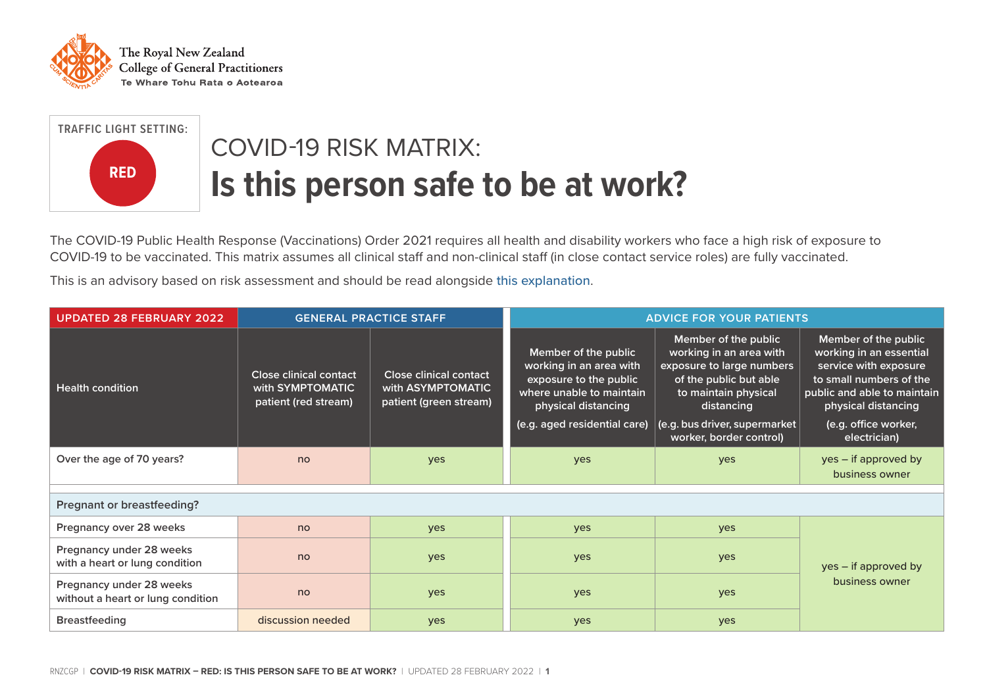



## COVID-19 RISK MATRIX: **Is this person safe to be at work?**

The COVID-19 Public Health Response (Vaccinations) Order 2021 requires all health and disability workers who face a high risk of exposure to COVID-19 to be vaccinated. This matrix assumes all clinical staff and non-clinical staff (in close contact service roles) are fully vaccinated.

This is an advisory based on risk assessment and should be read alongside [this explanation](https://rnzcgp.org.nz/Covid19/Clinical/Risk_matrix_explanation.aspx).

| <b>UPDATED 28 FEBRUARY 2022</b>                               | <b>GENERAL PRACTICE STAFF</b>                                             |                                                                       | <b>ADVICE FOR YOUR PATIENTS</b>                                                                                              |                                                                                                                                              |                                                                                                                                                           |
|---------------------------------------------------------------|---------------------------------------------------------------------------|-----------------------------------------------------------------------|------------------------------------------------------------------------------------------------------------------------------|----------------------------------------------------------------------------------------------------------------------------------------------|-----------------------------------------------------------------------------------------------------------------------------------------------------------|
| <b>Health condition</b>                                       | <b>Close clinical contact</b><br>with SYMPTOMATIC<br>patient (red stream) | Close clinical contact<br>with ASYMPTOMATIC<br>patient (green stream) | Member of the public<br>working in an area with<br>exposure to the public<br>where unable to maintain<br>physical distancing | Member of the public<br>working in an area with<br>exposure to large numbers<br>of the public but able<br>to maintain physical<br>distancing | Member of the public<br>working in an essential<br>service with exposure<br>to small numbers of the<br>public and able to maintain<br>physical distancing |
|                                                               |                                                                           |                                                                       | (e.g. aged residential care)                                                                                                 | (e.g. bus driver, supermarket<br>worker, border control)                                                                                     | (e.g. office worker,<br>electrician)                                                                                                                      |
| Over the age of 70 years?                                     | no                                                                        | yes                                                                   | yes                                                                                                                          | yes                                                                                                                                          | yes – if approved by<br>business owner                                                                                                                    |
|                                                               |                                                                           |                                                                       |                                                                                                                              |                                                                                                                                              |                                                                                                                                                           |
| Pregnant or breastfeeding?                                    |                                                                           |                                                                       |                                                                                                                              |                                                                                                                                              |                                                                                                                                                           |
| Pregnancy over 28 weeks                                       | no                                                                        | yes                                                                   | yes                                                                                                                          | yes                                                                                                                                          |                                                                                                                                                           |
| Pregnancy under 28 weeks<br>with a heart or lung condition    | no                                                                        | yes                                                                   | yes                                                                                                                          | yes                                                                                                                                          | yes – if approved by                                                                                                                                      |
| Pregnancy under 28 weeks<br>without a heart or lung condition | no                                                                        | yes                                                                   | yes                                                                                                                          | yes                                                                                                                                          | business owner                                                                                                                                            |
| <b>Breastfeeding</b>                                          | discussion needed                                                         | yes                                                                   | yes                                                                                                                          | yes                                                                                                                                          |                                                                                                                                                           |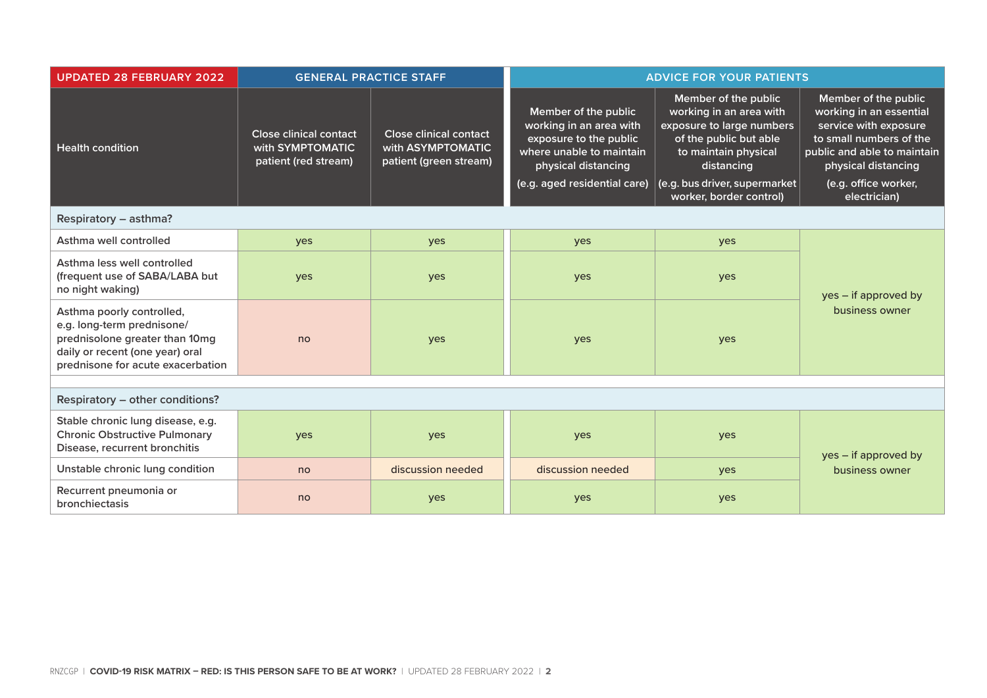| <b>UPDATED 28 FEBRUARY 2022</b>                                                                                                                                   | <b>GENERAL PRACTICE STAFF</b>                                             |                                                                              | <b>ADVICE FOR YOUR PATIENTS</b>                                                                                                                              |                                                                                                                                                                                                          |                                                                                                                                                                                                   |  |
|-------------------------------------------------------------------------------------------------------------------------------------------------------------------|---------------------------------------------------------------------------|------------------------------------------------------------------------------|--------------------------------------------------------------------------------------------------------------------------------------------------------------|----------------------------------------------------------------------------------------------------------------------------------------------------------------------------------------------------------|---------------------------------------------------------------------------------------------------------------------------------------------------------------------------------------------------|--|
| <b>Health condition</b>                                                                                                                                           | <b>Close clinical contact</b><br>with SYMPTOMATIC<br>patient (red stream) | <b>Close clinical contact</b><br>with ASYMPTOMATIC<br>patient (green stream) | Member of the public<br>working in an area with<br>exposure to the public<br>where unable to maintain<br>physical distancing<br>(e.g. aged residential care) | Member of the public<br>working in an area with<br>exposure to large numbers<br>of the public but able<br>to maintain physical<br>distancing<br>(e.g. bus driver, supermarket<br>worker, border control) | Member of the public<br>working in an essential<br>service with exposure<br>to small numbers of the<br>public and able to maintain<br>physical distancing<br>(e.g. office worker,<br>electrician) |  |
| Respiratory - asthma?                                                                                                                                             |                                                                           |                                                                              |                                                                                                                                                              |                                                                                                                                                                                                          |                                                                                                                                                                                                   |  |
| Asthma well controlled                                                                                                                                            | yes                                                                       | yes                                                                          | yes                                                                                                                                                          | yes                                                                                                                                                                                                      |                                                                                                                                                                                                   |  |
| Asthma less well controlled<br>(frequent use of SABA/LABA but<br>no night waking)                                                                                 | yes                                                                       | yes                                                                          | yes                                                                                                                                                          | yes                                                                                                                                                                                                      | yes – if approved by<br>business owner                                                                                                                                                            |  |
| Asthma poorly controlled,<br>e.g. long-term prednisone/<br>prednisolone greater than 10mg<br>daily or recent (one year) oral<br>prednisone for acute exacerbation | no                                                                        | yes                                                                          | yes                                                                                                                                                          | yes                                                                                                                                                                                                      |                                                                                                                                                                                                   |  |
|                                                                                                                                                                   |                                                                           |                                                                              |                                                                                                                                                              |                                                                                                                                                                                                          |                                                                                                                                                                                                   |  |
| Respiratory - other conditions?                                                                                                                                   |                                                                           |                                                                              |                                                                                                                                                              |                                                                                                                                                                                                          |                                                                                                                                                                                                   |  |
| Stable chronic lung disease, e.g.<br><b>Chronic Obstructive Pulmonary</b><br>Disease, recurrent bronchitis                                                        | yes                                                                       | yes                                                                          | yes                                                                                                                                                          | yes                                                                                                                                                                                                      | yes – if approved by                                                                                                                                                                              |  |
| Unstable chronic lung condition                                                                                                                                   | no                                                                        | discussion needed                                                            | discussion needed                                                                                                                                            | yes                                                                                                                                                                                                      | business owner                                                                                                                                                                                    |  |
| Recurrent pneumonia or<br>bronchiectasis                                                                                                                          | no                                                                        | yes                                                                          | yes                                                                                                                                                          | yes                                                                                                                                                                                                      |                                                                                                                                                                                                   |  |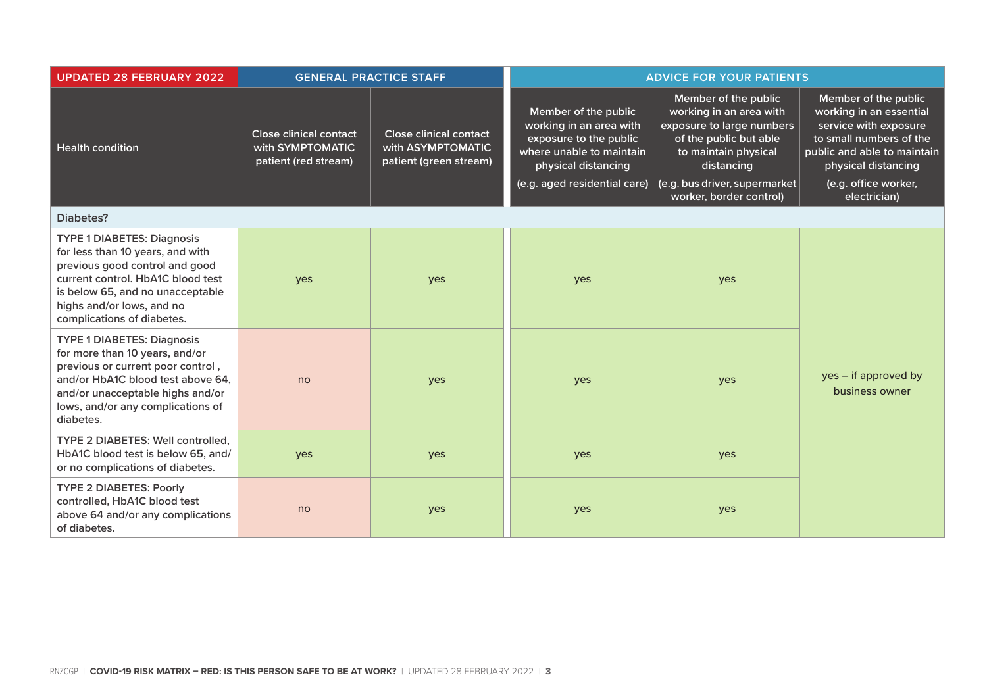| <b>UPDATED 28 FEBRUARY 2022</b>                                                                                                                                                                                                             | <b>GENERAL PRACTICE STAFF</b>                                             |                                                                              | <b>ADVICE FOR YOUR PATIENTS</b>                                                                                                                              |                                                                                                                                                                                                          |                                                                                                                                                                                                   |
|---------------------------------------------------------------------------------------------------------------------------------------------------------------------------------------------------------------------------------------------|---------------------------------------------------------------------------|------------------------------------------------------------------------------|--------------------------------------------------------------------------------------------------------------------------------------------------------------|----------------------------------------------------------------------------------------------------------------------------------------------------------------------------------------------------------|---------------------------------------------------------------------------------------------------------------------------------------------------------------------------------------------------|
| <b>Health condition</b>                                                                                                                                                                                                                     | <b>Close clinical contact</b><br>with SYMPTOMATIC<br>patient (red stream) | <b>Close clinical contact</b><br>with ASYMPTOMATIC<br>patient (green stream) | Member of the public<br>working in an area with<br>exposure to the public<br>where unable to maintain<br>physical distancing<br>(e.g. aged residential care) | Member of the public<br>working in an area with<br>exposure to large numbers<br>of the public but able<br>to maintain physical<br>distancing<br>(e.g. bus driver, supermarket<br>worker, border control) | Member of the public<br>working in an essential<br>service with exposure<br>to small numbers of the<br>public and able to maintain<br>physical distancing<br>(e.g. office worker,<br>electrician) |
| <b>Diabetes?</b>                                                                                                                                                                                                                            |                                                                           |                                                                              |                                                                                                                                                              |                                                                                                                                                                                                          |                                                                                                                                                                                                   |
| <b>TYPE 1 DIABETES: Diagnosis</b><br>for less than 10 years, and with<br>previous good control and good<br>current control. HbA1C blood test<br>is below 65, and no unacceptable<br>highs and/or lows, and no<br>complications of diabetes. | yes                                                                       | yes                                                                          | yes                                                                                                                                                          | yes                                                                                                                                                                                                      |                                                                                                                                                                                                   |
| <b>TYPE 1 DIABETES: Diagnosis</b><br>for more than 10 years, and/or<br>previous or current poor control,<br>and/or HbA1C blood test above 64.<br>and/or unacceptable highs and/or<br>lows, and/or any complications of<br>diabetes.         | no                                                                        | yes                                                                          | yes                                                                                                                                                          | yes                                                                                                                                                                                                      | yes – if approved by<br>business owner                                                                                                                                                            |
| TYPE 2 DIABETES: Well controlled,<br>HbA1C blood test is below 65, and/<br>or no complications of diabetes.                                                                                                                                 | yes                                                                       | yes                                                                          | yes                                                                                                                                                          | yes                                                                                                                                                                                                      |                                                                                                                                                                                                   |
| <b>TYPE 2 DIABETES: Poorly</b><br>controlled, HbA1C blood test<br>above 64 and/or any complications<br>of diabetes.                                                                                                                         | no                                                                        | yes                                                                          | yes                                                                                                                                                          | yes                                                                                                                                                                                                      |                                                                                                                                                                                                   |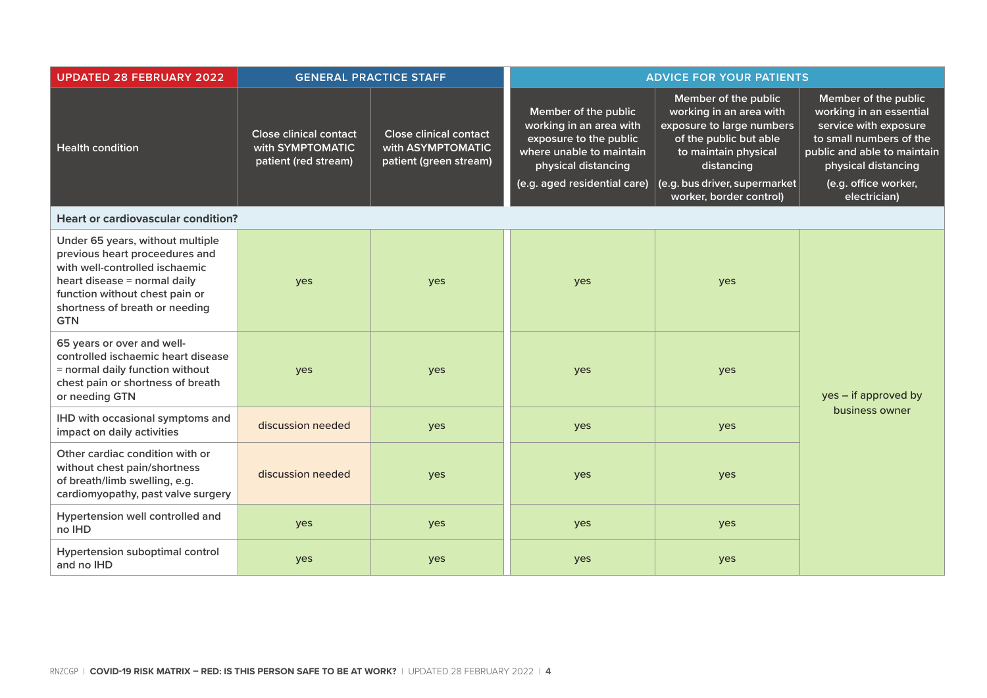| <b>UPDATED 28 FEBRUARY 2022</b>                                                                                                                                                                                        | <b>GENERAL PRACTICE STAFF</b>                                             |                                                                              | <b>ADVICE FOR YOUR PATIENTS</b>                                                                                                                              |                                                                                                                                                                                                          |                                                                                                                                                                                                   |
|------------------------------------------------------------------------------------------------------------------------------------------------------------------------------------------------------------------------|---------------------------------------------------------------------------|------------------------------------------------------------------------------|--------------------------------------------------------------------------------------------------------------------------------------------------------------|----------------------------------------------------------------------------------------------------------------------------------------------------------------------------------------------------------|---------------------------------------------------------------------------------------------------------------------------------------------------------------------------------------------------|
| <b>Health condition</b>                                                                                                                                                                                                | <b>Close clinical contact</b><br>with SYMPTOMATIC<br>patient (red stream) | <b>Close clinical contact</b><br>with ASYMPTOMATIC<br>patient (green stream) | Member of the public<br>working in an area with<br>exposure to the public<br>where unable to maintain<br>physical distancing<br>(e.g. aged residential care) | Member of the public<br>working in an area with<br>exposure to large numbers<br>of the public but able<br>to maintain physical<br>distancing<br>(e.g. bus driver, supermarket<br>worker, border control) | Member of the public<br>working in an essential<br>service with exposure<br>to small numbers of the<br>public and able to maintain<br>physical distancing<br>(e.g. office worker,<br>electrician) |
| <b>Heart or cardiovascular condition?</b>                                                                                                                                                                              |                                                                           |                                                                              |                                                                                                                                                              |                                                                                                                                                                                                          |                                                                                                                                                                                                   |
| Under 65 years, without multiple<br>previous heart proceedures and<br>with well-controlled ischaemic<br>heart disease = normal daily<br>function without chest pain or<br>shortness of breath or needing<br><b>GTN</b> | yes                                                                       | yes                                                                          | yes                                                                                                                                                          | yes                                                                                                                                                                                                      |                                                                                                                                                                                                   |
| 65 years or over and well-<br>controlled ischaemic heart disease<br>= normal daily function without<br>chest pain or shortness of breath<br>or needing GTN                                                             | yes                                                                       | yes                                                                          | yes                                                                                                                                                          | yes                                                                                                                                                                                                      | yes - if approved by                                                                                                                                                                              |
| IHD with occasional symptoms and<br>impact on daily activities                                                                                                                                                         | discussion needed                                                         | yes                                                                          | yes                                                                                                                                                          | yes                                                                                                                                                                                                      | business owner                                                                                                                                                                                    |
| Other cardiac condition with or<br>without chest pain/shortness<br>of breath/limb swelling, e.g.<br>cardiomyopathy, past valve surgery                                                                                 | discussion needed                                                         | yes                                                                          | yes                                                                                                                                                          | yes                                                                                                                                                                                                      |                                                                                                                                                                                                   |
| Hypertension well controlled and<br>no IHD                                                                                                                                                                             | yes                                                                       | yes                                                                          | yes                                                                                                                                                          | yes                                                                                                                                                                                                      |                                                                                                                                                                                                   |
| Hypertension suboptimal control<br>and no IHD                                                                                                                                                                          | yes                                                                       | yes                                                                          | yes                                                                                                                                                          | yes                                                                                                                                                                                                      |                                                                                                                                                                                                   |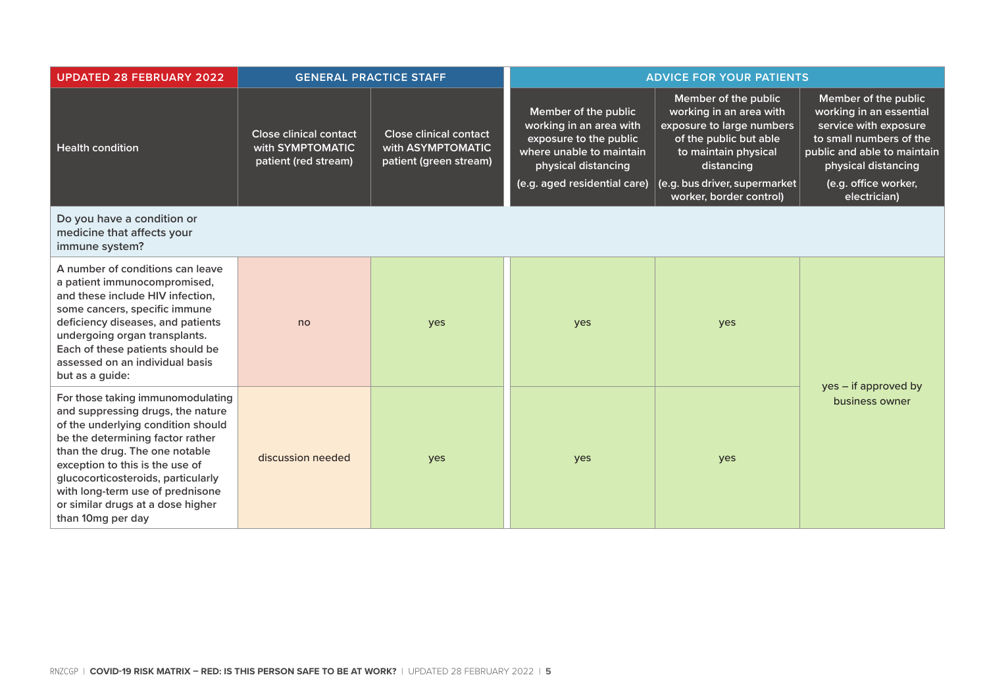| <b>UPDATED 28 FEBRUARY 2022</b>                                                                                                                                                                                                                                                                                                                           | <b>GENERAL PRACTICE STAFF</b>                                             |                                                                              | <b>ADVICE FOR YOUR PATIENTS</b>                                                                                                                              |                                                                                                                                                                                                          |                                                                                                                                                                                                   |
|-----------------------------------------------------------------------------------------------------------------------------------------------------------------------------------------------------------------------------------------------------------------------------------------------------------------------------------------------------------|---------------------------------------------------------------------------|------------------------------------------------------------------------------|--------------------------------------------------------------------------------------------------------------------------------------------------------------|----------------------------------------------------------------------------------------------------------------------------------------------------------------------------------------------------------|---------------------------------------------------------------------------------------------------------------------------------------------------------------------------------------------------|
| <b>Health condition</b>                                                                                                                                                                                                                                                                                                                                   | <b>Close clinical contact</b><br>with SYMPTOMATIC<br>patient (red stream) | <b>Close clinical contact</b><br>with ASYMPTOMATIC<br>patient (green stream) | Member of the public<br>working in an area with<br>exposure to the public<br>where unable to maintain<br>physical distancing<br>(e.g. aged residential care) | Member of the public<br>working in an area with<br>exposure to large numbers<br>of the public but able<br>to maintain physical<br>distancing<br>(e.g. bus driver, supermarket<br>worker, border control) | Member of the public<br>working in an essential<br>service with exposure<br>to small numbers of the<br>public and able to maintain<br>physical distancing<br>(e.g. office worker,<br>electrician) |
| Do you have a condition or<br>medicine that affects your<br>immune system?                                                                                                                                                                                                                                                                                |                                                                           |                                                                              |                                                                                                                                                              |                                                                                                                                                                                                          |                                                                                                                                                                                                   |
| A number of conditions can leave<br>a patient immunocompromised,<br>and these include HIV infection,<br>some cancers, specific immune<br>deficiency diseases, and patients<br>undergoing organ transplants.<br>Each of these patients should be<br>assessed on an individual basis<br>but as a guide:                                                     | no                                                                        | yes                                                                          | yes                                                                                                                                                          | yes                                                                                                                                                                                                      |                                                                                                                                                                                                   |
| For those taking immunomodulating<br>and suppressing drugs, the nature<br>of the underlying condition should<br>be the determining factor rather<br>than the drug. The one notable<br>exception to this is the use of<br>glucocorticosteroids, particularly<br>with long-term use of prednisone<br>or similar drugs at a dose higher<br>than 10mg per day | discussion needed                                                         | yes                                                                          | yes                                                                                                                                                          | yes                                                                                                                                                                                                      | yes – if approved by<br>business owner                                                                                                                                                            |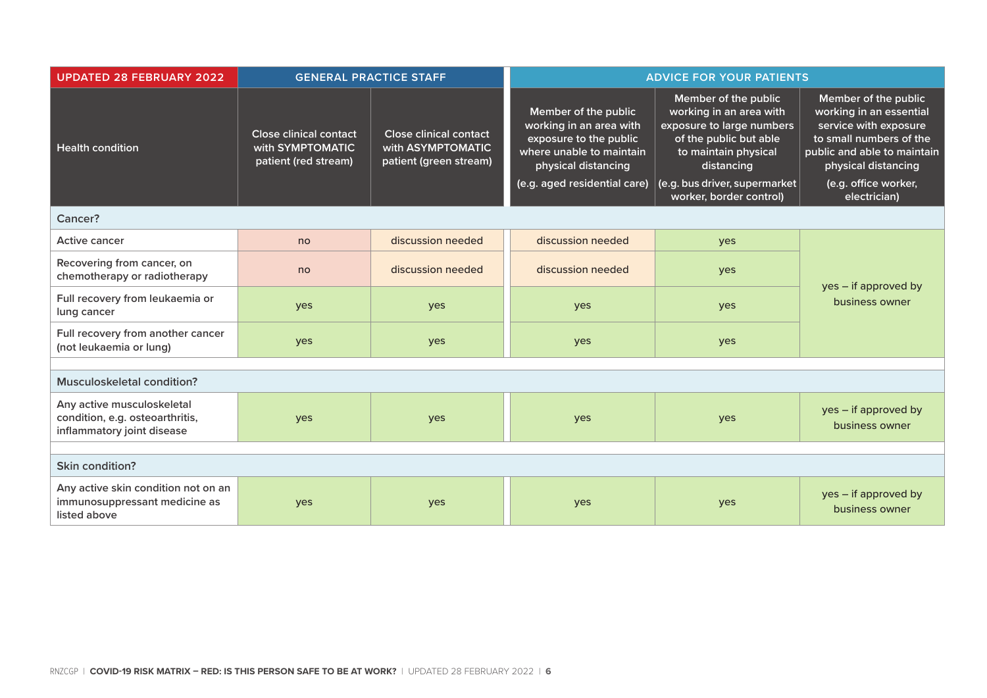| <b>UPDATED 28 FEBRUARY 2022</b>                                                             | <b>GENERAL PRACTICE STAFF</b>                                             |                                                                              | <b>ADVICE FOR YOUR PATIENTS</b>                                                                                                                              |                                                                                                                                                                               |                                                                                                                                                                                   |  |
|---------------------------------------------------------------------------------------------|---------------------------------------------------------------------------|------------------------------------------------------------------------------|--------------------------------------------------------------------------------------------------------------------------------------------------------------|-------------------------------------------------------------------------------------------------------------------------------------------------------------------------------|-----------------------------------------------------------------------------------------------------------------------------------------------------------------------------------|--|
| <b>Health condition</b>                                                                     | <b>Close clinical contact</b><br>with SYMPTOMATIC<br>patient (red stream) | <b>Close clinical contact</b><br>with ASYMPTOMATIC<br>patient (green stream) | Member of the public<br>working in an area with<br>exposure to the public<br>where unable to maintain<br>physical distancing<br>(e.g. aged residential care) | Member of the public<br>working in an area with<br>exposure to large numbers<br>of the public but able<br>to maintain physical<br>distancing<br>(e.g. bus driver, supermarket | Member of the public<br>working in an essential<br>service with exposure<br>to small numbers of the<br>public and able to maintain<br>physical distancing<br>(e.g. office worker, |  |
|                                                                                             |                                                                           |                                                                              |                                                                                                                                                              | worker, border control)                                                                                                                                                       | electrician)                                                                                                                                                                      |  |
| Cancer?                                                                                     |                                                                           |                                                                              |                                                                                                                                                              |                                                                                                                                                                               |                                                                                                                                                                                   |  |
| <b>Active cancer</b>                                                                        | no                                                                        | discussion needed                                                            | discussion needed                                                                                                                                            | yes                                                                                                                                                                           |                                                                                                                                                                                   |  |
| Recovering from cancer, on<br>chemotherapy or radiotherapy                                  | no                                                                        | discussion needed                                                            | discussion needed                                                                                                                                            | yes                                                                                                                                                                           | yes - if approved by<br>business owner                                                                                                                                            |  |
| Full recovery from leukaemia or<br>lung cancer                                              | yes                                                                       | yes                                                                          | yes                                                                                                                                                          | yes                                                                                                                                                                           |                                                                                                                                                                                   |  |
| Full recovery from another cancer<br>(not leukaemia or lung)                                | yes                                                                       | yes                                                                          | yes                                                                                                                                                          | yes                                                                                                                                                                           |                                                                                                                                                                                   |  |
|                                                                                             |                                                                           |                                                                              |                                                                                                                                                              |                                                                                                                                                                               |                                                                                                                                                                                   |  |
| <b>Musculoskeletal condition?</b>                                                           |                                                                           |                                                                              |                                                                                                                                                              |                                                                                                                                                                               |                                                                                                                                                                                   |  |
| Any active musculoskeletal<br>condition, e.g. osteoarthritis,<br>inflammatory joint disease | yes                                                                       | yes                                                                          | yes                                                                                                                                                          | yes                                                                                                                                                                           | yes - if approved by<br>business owner                                                                                                                                            |  |
|                                                                                             |                                                                           |                                                                              |                                                                                                                                                              |                                                                                                                                                                               |                                                                                                                                                                                   |  |
| Skin condition?                                                                             |                                                                           |                                                                              |                                                                                                                                                              |                                                                                                                                                                               |                                                                                                                                                                                   |  |
| Any active skin condition not on an<br>immunosuppressant medicine as<br>listed above        | yes                                                                       | yes                                                                          | yes                                                                                                                                                          | yes                                                                                                                                                                           | yes - if approved by<br>business owner                                                                                                                                            |  |